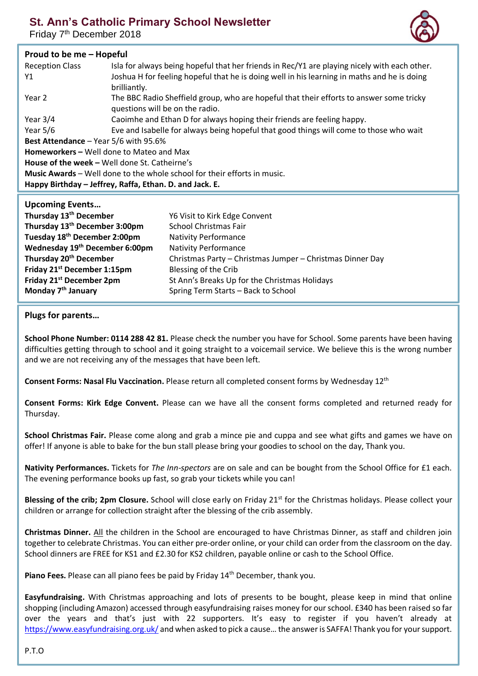# **St. Ann's Catholic Primary School Newsletter**

Friday 7<sup>th</sup> December 2018



## **Proud to be me – Hopeful**

| <b>Reception Class</b>                                                   | Isla for always being hopeful that her friends in Rec/Y1 are playing nicely with each other. |  |
|--------------------------------------------------------------------------|----------------------------------------------------------------------------------------------|--|
| Y1                                                                       | Joshua H for feeling hopeful that he is doing well in his learning in maths and he is doing  |  |
|                                                                          | brilliantly.                                                                                 |  |
|                                                                          |                                                                                              |  |
| Year 2                                                                   | The BBC Radio Sheffield group, who are hopeful that their efforts to answer some tricky      |  |
|                                                                          | questions will be on the radio.                                                              |  |
| Year $3/4$                                                               | Caoimhe and Ethan D for always hoping their friends are feeling happy.                       |  |
| Year $5/6$                                                               | Eve and Isabelle for always being hopeful that good things will come to those who wait       |  |
| <b>Best Attendance</b> – Year $5/6$ with 95.6%                           |                                                                                              |  |
| <b>Homeworkers - Well done to Mateo and Max</b>                          |                                                                                              |  |
| <b>House of the week – Well done St. Catheirne's</b>                     |                                                                                              |  |
| Music Awards - Well done to the whole school for their efforts in music. |                                                                                              |  |
| Happy Birthday – Jeffrey, Raffa, Ethan. D. and Jack. E.                  |                                                                                              |  |
|                                                                          |                                                                                              |  |
| <b>Upcoming Events</b>                                                   |                                                                                              |  |
| Thursday 43th Bassaches                                                  | $MCML + L = ML$ . Estable $C = L$                                                            |  |

| Thursday 13 <sup>th</sup> December         | Y6 Visit to Kirk Edge Convent                             |
|--------------------------------------------|-----------------------------------------------------------|
| Thursday 13 <sup>th</sup> December 3:00pm  | <b>School Christmas Fair</b>                              |
| Tuesday 18 <sup>th</sup> December 2:00pm   | <b>Nativity Performance</b>                               |
| Wednesday 19 <sup>th</sup> December 6:00pm | <b>Nativity Performance</b>                               |
| Thursday 20 <sup>th</sup> December         | Christmas Party - Christmas Jumper - Christmas Dinner Day |
| Friday 21 <sup>st</sup> December 1:15pm    | Blessing of the Crib                                      |
| Friday 21 <sup>st</sup> December 2pm       | St Ann's Breaks Up for the Christmas Holidays             |
| Monday 7 <sup>th</sup> January             | Spring Term Starts - Back to School                       |
|                                            |                                                           |

#### **Plugs for parents…**

**School Phone Number: 0114 288 42 81.** Please check the number you have for School. Some parents have been having difficulties getting through to school and it going straight to a voicemail service. We believe this is the wrong number and we are not receiving any of the messages that have been left.

**Consent Forms: Nasal Flu Vaccination.** Please return all completed consent forms by Wednesday 12th

**Consent Forms: Kirk Edge Convent.** Please can we have all the consent forms completed and returned ready for Thursday.

**School Christmas Fair.** Please come along and grab a mince pie and cuppa and see what gifts and games we have on offer! If anyone is able to bake for the bun stall please bring your goodies to school on the day, Thank you.

**Nativity Performances.** Tickets for *The Inn-spectors* are on sale and can be bought from the School Office for £1 each. The evening performance books up fast, so grab your tickets while you can!

Blessing of the crib; 2pm Closure. School will close early on Friday 21<sup>st</sup> for the Christmas holidays. Please collect your children or arrange for collection straight after the blessing of the crib assembly.

**Christmas Dinner.** All the children in the School are encouraged to have Christmas Dinner, as staff and children join together to celebrate Christmas. You can either pre-order online, or your child can order from the classroom on the day. School dinners are FREE for KS1 and £2.30 for KS2 children, payable online or cash to the School Office.

Piano Fees. Please can all piano fees be paid by Friday 14<sup>th</sup> December, thank you.

**Easyfundraising.** With Christmas approaching and lots of presents to be bought, please keep in mind that online shopping (including Amazon) accessed through easyfundraising raises money for our school. £340 has been raised so far over the years and that's just with 22 supporters. It's easy to register if you haven't already at <https://www.easyfundraising.org.uk/> and when asked to pick a cause… the answer is SAFFA! Thank you for your support.